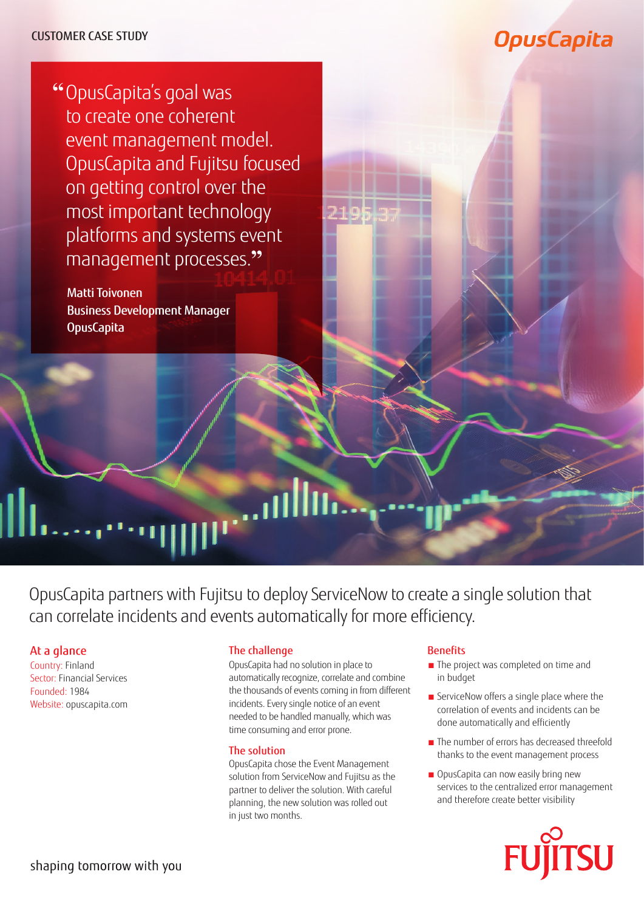# **OpusCapita**

**"** OpusCapita's goal was to create one coherent event management model. OpusCapita and Fujitsu focused on getting control over the most important technology platforms and systems event management processes.**"**

Matti Toivonen Business Development Manager **OpusCapita** 

OpusCapita partners with Fujitsu to deploy ServiceNow to create a single solution that can correlate incidents and events automatically for more efficiency.

# At a glance

Country: Finland Sector: Financial Services Founded: 1984 Website: [opuscapita.com](https://www.opuscapita.com/)

# The challenge

OpusCapita had no solution in place to automatically recognize, correlate and combine the thousands of events coming in from different incidents. Every single notice of an event needed to be handled manually, which was time consuming and error prone.

### The solution

OpusCapita chose the Event Management solution from ServiceNow and Fujitsu as the partner to deliver the solution. With careful planning, the new solution was rolled out in just two months.

### **Benefits**

- The project was completed on time and in budget
- ServiceNow offers a single place where the correlation of events and incidents can be done automatically and efficiently
- The number of errors has decreased threefold thanks to the event management process
- OpusCapita can now easily bring new services to the centralized error management and therefore create better visibility